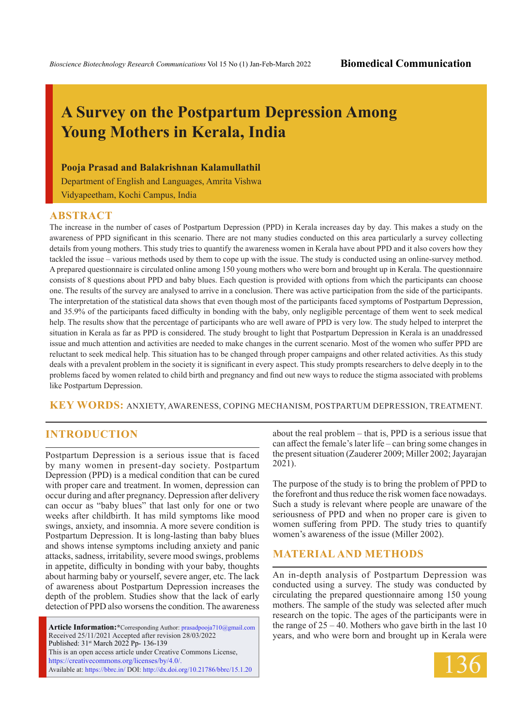# **A Survey on the Postpartum Depression Among Young Mothers in Kerala, India**

### **Pooja Prasad and Balakrishnan Kalamullathil**

Department of English and Languages, Amrita Vishwa Vidyapeetham, Kochi Campus, India

### **ABSTRACT**

The increase in the number of cases of Postpartum Depression (PPD) in Kerala increases day by day. This makes a study on the awareness of PPD significant in this scenario. There are not many studies conducted on this area particularly a survey collecting details from young mothers. This study tries to quantify the awareness women in Kerala have about PPD and it also covers how they tackled the issue – various methods used by them to cope up with the issue. The study is conducted using an online-survey method. A prepared questionnaire is circulated online among 150 young mothers who were born and brought up in Kerala. The questionnaire consists of 8 questions about PPD and baby blues. Each question is provided with options from which the participants can choose one. The results of the survey are analysed to arrive in a conclusion. There was active participation from the side of the participants. The interpretation of the statistical data shows that even though most of the participants faced symptoms of Postpartum Depression, and 35.9% of the participants faced difficulty in bonding with the baby, only negligible percentage of them went to seek medical help. The results show that the percentage of participants who are well aware of PPD is very low. The study helped to interpret the situation in Kerala as far as PPD is considered. The study brought to light that Postpartum Depression in Kerala is an unaddressed issue and much attention and activities are needed to make changes in the current scenario. Most of the women who suffer PPD are reluctant to seek medical help. This situation has to be changed through proper campaigns and other related activities. As this study deals with a prevalent problem in the society it is significant in every aspect. This study prompts researchers to delve deeply in to the problems faced by women related to child birth and pregnancy and find out new ways to reduce the stigma associated with problems like Postpartum Depression.

**KEY WORDS:** Anxiety, Awareness, Coping Mechanism, Postpartum Depression, Treatment.

## **INTRODUCTION**

Postpartum Depression is a serious issue that is faced by many women in present-day society. Postpartum Depression (PPD) is a medical condition that can be cured with proper care and treatment. In women, depression can occur during and after pregnancy. Depression after delivery can occur as "baby blues" that last only for one or two weeks after childbirth. It has mild symptoms like mood swings, anxiety, and insomnia. A more severe condition is Postpartum Depression. It is long-lasting than baby blues and shows intense symptoms including anxiety and panic attacks, sadness, irritability, severe mood swings, problems in appetite, difficulty in bonding with your baby, thoughts about harming baby or yourself, severe anger, etc. The lack of awareness about Postpartum Depression increases the depth of the problem. Studies show that the lack of early detection of PPD also worsens the condition. The awareness

**Article Information:\***Corresponding Author: prasadpooja710@gmail.com Received 25/11/2021 Accepted after revision 28/03/2022 Published: 31st March 2022 Pp- 136-139 This is an open access article under Creative Commons License, https://creativecommons.org/licenses/by/4.0/. Available at: https://bbrc.in/ DOI: http://dx.doi.org/10.21786/bbrc/15.1.20

about the real problem – that is, PPD is a serious issue that can affect the female's later life – can bring some changes in the present situation (Zauderer 2009; Miller 2002; Jayarajan 2021).

The purpose of the study is to bring the problem of PPD to the forefront and thus reduce the risk women face nowadays. Such a study is relevant where people are unaware of the seriousness of PPD and when no proper care is given to women suffering from PPD. The study tries to quantify women's awareness of the issue (Miller 2002).

### **Material and Methods**

An in-depth analysis of Postpartum Depression was conducted using a survey. The study was conducted by circulating the prepared questionnaire among 150 young mothers. The sample of the study was selected after much research on the topic. The ages of the participants were in the range of 25 – 40. Mothers who gave birth in the last 10 years, and who were born and brought up in Kerala were

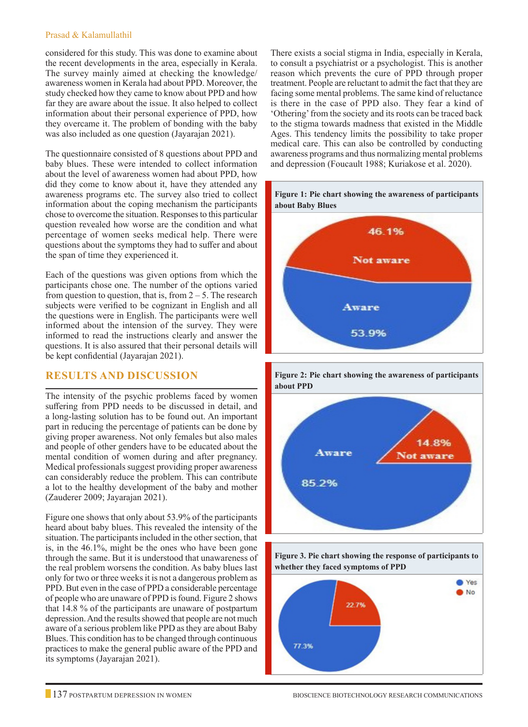#### Prasad & Kalamullathil

considered for this study. This was done to examine about the recent developments in the area, especially in Kerala. The survey mainly aimed at checking the knowledge/ awareness women in Kerala had about PPD. Moreover, the study checked how they came to know about PPD and how far they are aware about the issue. It also helped to collect information about their personal experience of PPD, how they overcame it. The problem of bonding with the baby was also included as one question (Jayarajan 2021).

The questionnaire consisted of 8 questions about PPD and baby blues. These were intended to collect information about the level of awareness women had about PPD, how did they come to know about it, have they attended any awareness programs etc. The survey also tried to collect information about the coping mechanism the participants chose to overcome the situation. Responses to this particular question revealed how worse are the condition and what percentage of women seeks medical help. There were questions about the symptoms they had to suffer and about the span of time they experienced it.

Each of the questions was given options from which the participants chose one. The number of the options varied from question to question, that is, from  $2 - 5$ . The research subjects were verified to be cognizant in English and all the questions were in English. The participants were well informed about the intension of the survey. They were informed to read the instructions clearly and answer the questions. It is also assured that their personal details will be kept confidential (Jayarajan 2021).

## **Results and Discussion**

The intensity of the psychic problems faced by women suffering from PPD needs to be discussed in detail, and a long-lasting solution has to be found out. An important part in reducing the percentage of patients can be done by giving proper awareness. Not only females but also males and people of other genders have to be educated about the mental condition of women during and after pregnancy. Medical professionals suggest providing proper awareness can considerably reduce the problem. This can contribute a lot to the healthy development of the baby and mother (Zauderer 2009; Jayarajan 2021).

Figure one shows that only about 53.9% of the participants heard about baby blues. This revealed the intensity of the situation. The participants included in the other section, that is, in the 46.1%, might be the ones who have been gone through the same. But it is understood that unawareness of the real problem worsens the condition. As baby blues last only for two or three weeks it is not a dangerous problem as PPD. But even in the case of PPD a considerable percentage of people who are unaware of PPD is found. Figure 2 shows that 14.8 % of the participants are unaware of postpartum depression. And the results showed that people are not much aware of a serious problem like PPD as they are about Baby Blues. This condition has to be changed through continuous practices to make the general public aware of the PPD and its symptoms (Jayarajan 2021).

There exists a social stigma in India, especially in Kerala, to consult a psychiatrist or a psychologist. This is another reason which prevents the cure of PPD through proper treatment. People are reluctant to admit the fact that they are facing some mental problems. The same kind of reluctance is there in the case of PPD also. They fear a kind of 'Othering' from the society and its roots can be traced back to the stigma towards madness that existed in the Middle Ages. This tendency limits the possibility to take proper medical care. This can also be controlled by conducting awareness programs and thus normalizing mental problems and depression (Foucault 1988; Kuriakose et al. 2020).







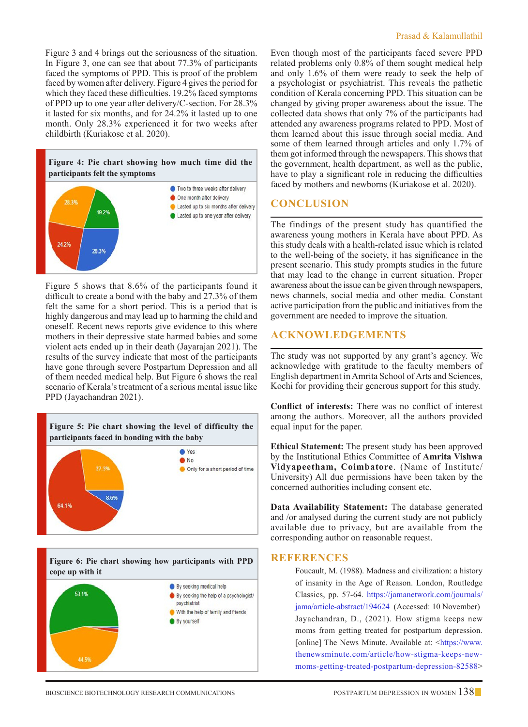Figure 3 and 4 brings out the seriousness of the situation. In Figure 3, one can see that about 77.3% of participants faced the symptoms of PPD. This is proof of the problem faced by women after delivery. Figure 4 gives the period for which they faced these difficulties. 19.2% faced symptoms of PPD up to one year after delivery/C-section. For 28.3% it lasted for six months, and for 24.2% it lasted up to one month. Only 28.3% experienced it for two weeks after childbirth (Kuriakose et al. 2020).



Figure 5 shows that 8.6% of the participants found it difficult to create a bond with the baby and 27.3% of them felt the same for a short period. This is a period that is highly dangerous and may lead up to harming the child and oneself. Recent news reports give evidence to this where mothers in their depressive state harmed babies and some violent acts ended up in their death (Jayarajan 2021). The results of the survey indicate that most of the participants have gone through severe Postpartum Depression and all of them needed medical help. But Figure 6 shows the real scenario of Kerala's treatment of a serious mental issue like PPD (Jayachandran 2021).







Even though most of the participants faced severe PPD related problems only 0.8% of them sought medical help and only 1.6% of them were ready to seek the help of a psychologist or psychiatrist. This reveals the pathetic condition of Kerala concerning PPD. This situation can be changed by giving proper awareness about the issue. The collected data shows that only 7% of the participants had attended any awareness programs related to PPD. Most of them learned about this issue through social media. And some of them learned through articles and only 1.7% of them got informed through the newspapers. This shows that the government, health department, as well as the public, have to play a significant role in reducing the difficulties faced by mothers and newborns (Kuriakose et al. 2020).

## **Conclusion**

The findings of the present study has quantified the awareness young mothers in Kerala have about PPD. As this study deals with a health-related issue which is related to the well-being of the society, it has significance in the present scenario. This study prompts studies in the future that may lead to the change in current situation. Proper awareness about the issue can be given through newspapers, news channels, social media and other media. Constant active participation from the public and initiatives from the government are needed to improve the situation.

## **Acknowledgements**

The study was not supported by any grant's agency. We acknowledge with gratitude to the faculty members of English department in Amrita School of Arts and Sciences, Kochi for providing their generous support for this study.

**Conflict of interests:** There was no conflict of interest among the authors. Moreover, all the authors provided equal input for the paper.

**Ethical Statement:** The present study has been approved by the Institutional Ethics Committee of **Amrita Vishwa Vidyapeetham, Coimbatore**. (Name of Institute/ University) All due permissions have been taken by the concerned authorities including consent etc.

**Data Availability Statement:** The database generated and /or analysed during the current study are not publicly available due to privacy, but are available from the corresponding author on reasonable request.

## **References**

Foucault, M. (1988). Madness and civilization: a history of insanity in the Age of Reason. London, Routledge Classics, pp. 57-64. https://jamanetwork.com/journals/ jama/article-abstract/194624 (Accessed: 10 November) Jayachandran, D., (2021). How stigma keeps new moms from getting treated for postpartum depression. [online] The News Minute. Available at: <https://www. thenewsminute.com/article/how-stigma-keeps-newmoms-getting-treated-postpartum-depression-82588>